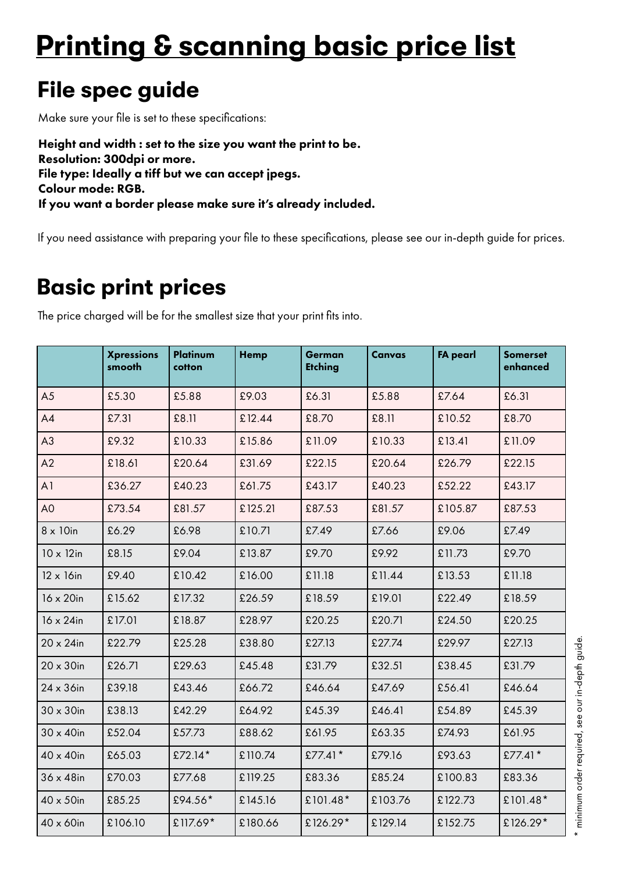# **Printing & scanning basic price list**

## **File spec guide**

Make sure your file is set to these specifications:

Height and width : set to the size you want the print to be. Resolution: 300dpi or more. File type: Ideally a tiff but we can accept jpegs. Colour mode: RGB. If you want a border please make sure it's already included.

If you need assistance with preparing your file to these specifications, please see our in-depth guide for prices.

### **Basic print prices**

The price charged will be for the smallest size that your print fits into.

|                   | <b>Xpressions</b><br>smooth | Platinum<br>cotton | <b>Hemp</b> | German<br><b>Etching</b> | Canvas  | <b>FA pearl</b> | <b>Somerset</b><br>enhanced |
|-------------------|-----------------------------|--------------------|-------------|--------------------------|---------|-----------------|-----------------------------|
| A <sub>5</sub>    | £5.30                       | £5.88              | £9.03       | £6.31                    | £5.88   | £7.64           | £6.31                       |
| A4                | £7.31                       | £8.11              | £12.44      | £8.70                    | £8.11   | £10.52          | £8.70                       |
| A3                | £9.32                       | £10.33             | £15.86      | £11.09                   | £10.33  | £13.41          | £11.09                      |
| A2                | £18.61                      | £20.64             | £31.69      | £22.15                   | £20.64  | £26.79          | £22.15                      |
| A <sub>1</sub>    | £36.27                      | £40.23             | £61.75      | £43.17                   | £40.23  | £52.22          | £43.17                      |
| A <sub>0</sub>    | £73.54                      | £81.57             | £125.21     | £87.53                   | £81.57  | £105.87         | £87.53                      |
| $8 \times 10$ in  | £6.29                       | £6.98              | £10.71      | £7.49                    | £7.66   | £9.06           | £7.49                       |
| $10 \times 12$ in | £8.15                       | £9.04              | £13.87      | £9.70                    | £9.92   | £11.73          | £9.70                       |
| $12 \times 16$ in | £9.40                       | £10.42             | £16.00      | £11.18                   | £11.44  | £13.53          | £11.18                      |
| $16 \times 20$ in | £15.62                      | £17.32             | £26.59      | £18.59                   | £19.01  | £22.49          | £18.59                      |
| $16 \times 24$ in | £17.01                      | £18.87             | £28.97      | £20.25                   | £20.71  | £24.50          | £20.25                      |
| $20 \times 24$ in | £22.79                      | £25.28             | £38.80      | £27.13                   | £27.74  | £29.97          | £27.13                      |
| $20 \times 30$ in | £26.71                      | £29.63             | £45.48      | £31.79                   | £32.51  | £38.45          | £31.79                      |
| 24 x 36in         | £39.18                      | £43.46             | £66.72      | £46.64                   | £47.69  | £56.41          | £46.64                      |
| $30 \times 30$ in | £38.13                      | £42.29             | £64.92      | £45.39                   | £46.41  | £54.89          | £45.39                      |
| $30 \times 40$ in | £52.04                      | £57.73             | £88.62      | £61.95                   | £63.35  | £74.93          | £61.95                      |
| 40 x 40in         | £65.03                      | £72.14*            | £110.74     | £77.41 $*$               | £79.16  | £93.63          | £77.41*                     |
| $36 \times 48$ in | £70.03                      | £77.68             | £119.25     | £83.36                   | £85.24  | £100.83         | £83.36                      |
| 40 x 50in         | £85.25                      | £94.56*            | £145.16     | £101.48*                 | £103.76 | £122.73         | £101.48*                    |
| $40 \times 60$ in | £106.10                     | £117.69*           | £180.66     | £126.29*                 | £129.14 | £152.75         | £126.29*                    |